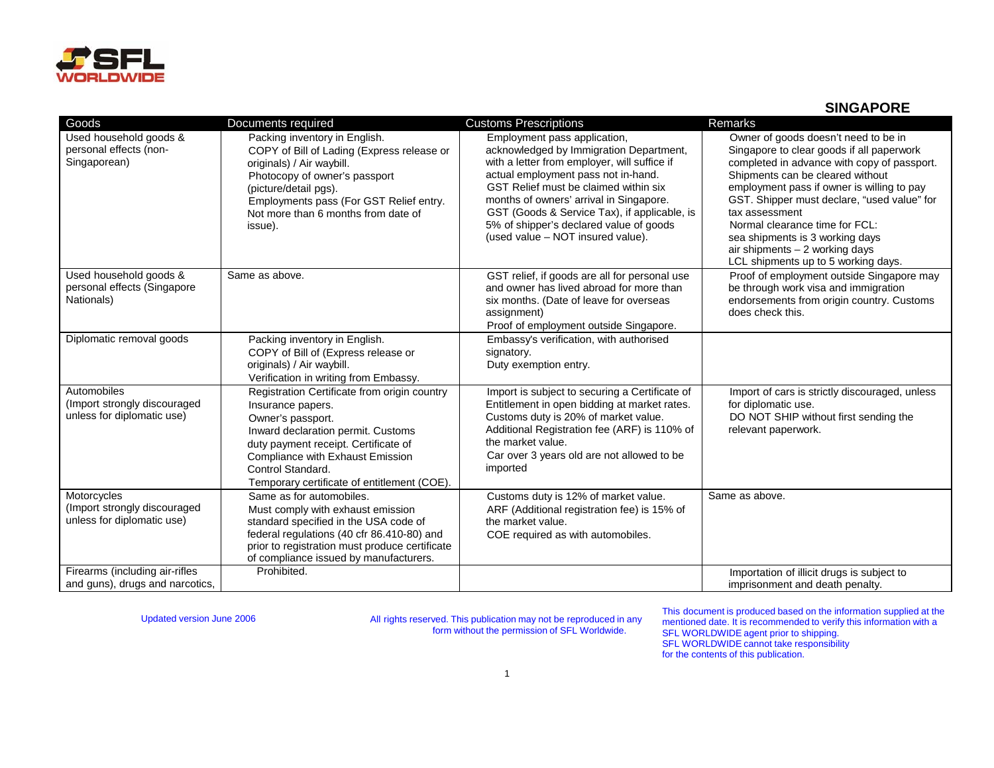

## **SINGAPORE**

| Goods                                                                     | Documents required                                                                                                                                                                                                                                                                  | <b>Customs Prescriptions</b>                                                                                                                                                                                                                                                                                                                                                       | Remarks                                                                                                                                                                                                                                                                                                                                                                                                                            |
|---------------------------------------------------------------------------|-------------------------------------------------------------------------------------------------------------------------------------------------------------------------------------------------------------------------------------------------------------------------------------|------------------------------------------------------------------------------------------------------------------------------------------------------------------------------------------------------------------------------------------------------------------------------------------------------------------------------------------------------------------------------------|------------------------------------------------------------------------------------------------------------------------------------------------------------------------------------------------------------------------------------------------------------------------------------------------------------------------------------------------------------------------------------------------------------------------------------|
| Used household goods &<br>personal effects (non-<br>Singaporean)          | Packing inventory in English.<br>COPY of Bill of Lading (Express release or<br>originals) / Air waybill.<br>Photocopy of owner's passport<br>(picture/detail pgs).<br>Employments pass (For GST Relief entry.<br>Not more than 6 months from date of<br>issue).                     | Employment pass application,<br>acknowledged by Immigration Department,<br>with a letter from employer, will suffice if<br>actual employment pass not in-hand.<br>GST Relief must be claimed within six<br>months of owners' arrival in Singapore.<br>GST (Goods & Service Tax), if applicable, is<br>5% of shipper's declared value of goods<br>(used value - NOT insured value). | Owner of goods doesn't need to be in<br>Singapore to clear goods if all paperwork<br>completed in advance with copy of passport.<br>Shipments can be cleared without<br>employment pass if owner is willing to pay<br>GST. Shipper must declare, "used value" for<br>tax assessment<br>Normal clearance time for FCL:<br>sea shipments is 3 working days<br>air shipments $-2$ working days<br>LCL shipments up to 5 working days. |
| Used household goods &<br>personal effects (Singapore<br>Nationals)       | Same as above.                                                                                                                                                                                                                                                                      | GST relief, if goods are all for personal use<br>and owner has lived abroad for more than<br>six months. (Date of leave for overseas<br>assignment)<br>Proof of employment outside Singapore.                                                                                                                                                                                      | Proof of employment outside Singapore may<br>be through work visa and immigration<br>endorsements from origin country. Customs<br>does check this.                                                                                                                                                                                                                                                                                 |
| Diplomatic removal goods                                                  | Packing inventory in English.<br>COPY of Bill of (Express release or<br>originals) / Air waybill.<br>Verification in writing from Embassy.                                                                                                                                          | Embassy's verification, with authorised<br>signatory.<br>Duty exemption entry.                                                                                                                                                                                                                                                                                                     |                                                                                                                                                                                                                                                                                                                                                                                                                                    |
| Automobiles<br>(Import strongly discouraged<br>unless for diplomatic use) | Registration Certificate from origin country<br>Insurance papers.<br>Owner's passport.<br>Inward declaration permit. Customs<br>duty payment receipt. Certificate of<br><b>Compliance with Exhaust Emission</b><br>Control Standard.<br>Temporary certificate of entitlement (COE). | Import is subject to securing a Certificate of<br>Entitlement in open bidding at market rates.<br>Customs duty is 20% of market value.<br>Additional Registration fee (ARF) is 110% of<br>the market value.<br>Car over 3 years old are not allowed to be<br>imported                                                                                                              | Import of cars is strictly discouraged, unless<br>for diplomatic use.<br>DO NOT SHIP without first sending the<br>relevant paperwork.                                                                                                                                                                                                                                                                                              |
| Motorcycles<br>(Import strongly discouraged<br>unless for diplomatic use) | Same as for automobiles.<br>Must comply with exhaust emission<br>standard specified in the USA code of<br>federal regulations (40 cfr 86.410-80) and<br>prior to registration must produce certificate<br>of compliance issued by manufacturers.                                    | Customs duty is 12% of market value.<br>ARF (Additional registration fee) is 15% of<br>the market value.<br>COE required as with automobiles.                                                                                                                                                                                                                                      | Same as above.                                                                                                                                                                                                                                                                                                                                                                                                                     |
| Firearms (including air-rifles<br>and guns), drugs and narcotics,         | Prohibited.                                                                                                                                                                                                                                                                         |                                                                                                                                                                                                                                                                                                                                                                                    | Importation of illicit drugs is subject to<br>imprisonment and death penalty.                                                                                                                                                                                                                                                                                                                                                      |

Updated version June 2006 All rights reserved. This publication may not be reproduced in any form without the permission of SFL Worldwide.

This document is produced based on the information supplied at the mentioned date. It is recommended to verify this information with a SFL WORLDWIDE agent prior to shipping. SFL WORLDWIDE cannot take responsibility for the contents of this publication.